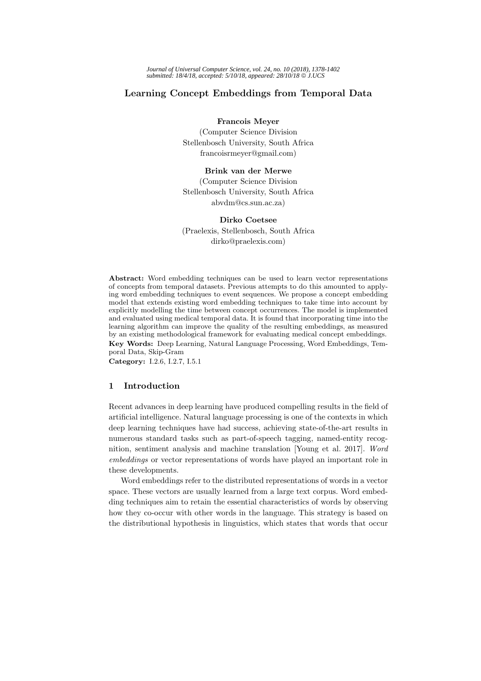# **Learning Concept Embeddings from Temporal Data**

**Francois Meyer**

(Computer Science Division Stellenbosch University, South Africa francoisrmeyer@gmail.com)

## **Brink van der Merwe**

(Computer Science Division Stellenbosch University, South Africa abvdm@cs.sun.ac.za)

**Dirko Coetsee** (Praelexis, Stellenbosch, South Africa dirko@praelexis.com)

**Abstract:** Word embedding techniques can be used to learn vector representations of concepts from temporal datasets. Previous attempts to do this amounted to applying word embedding techniques to event sequences. We propose a concept embedding model that extends existing word embedding techniques to take time into account by explicitly modelling the time between concept occurrences. The model is implemented and evaluated using medical temporal data. It is found that incorporating time into the learning algorithm can improve the quality of the resulting embeddings, as measured by an existing methodological framework for evaluating medical concept embeddings. **Key Words:** Deep Learning, Natural Language Processing, Word Embeddings, Temporal Data, Skip-Gram

**Category:** I.2.6, I.2.7, I.5.1

# **1 Introduction**

Recent advances in deep learning have produced compelling results in the field of artificial intelligence. Natural language processing is one of the contexts in which deep learning techniques have had success, achieving state-of-the-art results in numerous standard tasks such as part-of-speech tagging, named-entity recognition, sentiment analysis and machine translation [Young et al. 2017]. Word embeddings or vector representations of words have played an important role in these developments.

Word embeddings refer to the distributed representations of words in a vector space. These vectors are usually learned from a large text corpus. Word embedding techniques aim to retain the essential characteristics of words by observing how they co-occur with other words in the language. This strategy is based on the distributional hypothesis in linguistics, which states that words that occur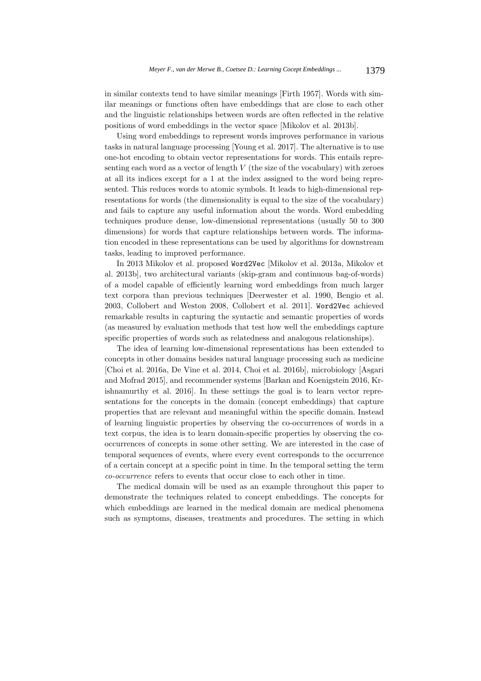in similar contexts tend to have similar meanings [Firth 1957]. Words with similar meanings or functions often have embeddings that are close to each other and the linguistic relationships between words are often reflected in the relative positions of word embeddings in the vector space [Mikolov et al. 2013b].

Using word embeddings to represent words improves performance in various tasks in natural language processing [Young et al. 2017]. The alternative is to use one-hot encoding to obtain vector representations for words. This entails representing each word as a vector of length  $V$  (the size of the vocabulary) with zeroes at all its indices except for a 1 at the index assigned to the word being represented. This reduces words to atomic symbols. It leads to high-dimensional representations for words (the dimensionality is equal to the size of the vocabulary) and fails to capture any useful information about the words. Word embedding techniques produce dense, low-dimensional representations (usually 50 to 300 dimensions) for words that capture relationships between words. The information encoded in these representations can be used by algorithms for downstream tasks, leading to improved performance.

In 2013 Mikolov et al. proposed Word2Vec [Mikolov et al. 2013a, Mikolov et al. 2013b], two architectural variants (skip-gram and continuous bag-of-words) of a model capable of efficiently learning word embeddings from much larger text corpora than previous techniques [Deerwester et al. 1990, Bengio et al. 2003, Collobert and Weston 2008, Collobert et al. 2011]. Word2Vec achieved remarkable results in capturing the syntactic and semantic properties of words (as measured by evaluation methods that test how well the embeddings capture specific properties of words such as relatedness and analogous relationships).

The idea of learning low-dimensional representations has been extended to concepts in other domains besides natural language processing such as medicine [Choi et al. 2016a, De Vine et al. 2014, Choi et al. 2016b], microbiology [Asgari and Mofrad 2015], and recommender systems [Barkan and Koenigstein 2016, Krishnamurthy et al. 2016]. In these settings the goal is to learn vector representations for the concepts in the domain (concept embeddings) that capture properties that are relevant and meaningful within the specific domain. Instead of learning linguistic properties by observing the co-occurrences of words in a text corpus, the idea is to learn domain-specific properties by observing the cooccurrences of concepts in some other setting. We are interested in the case of temporal sequences of events, where every event corresponds to the occurrence of a certain concept at a specific point in time. In the temporal setting the term co-occurrence refers to events that occur close to each other in time.

The medical domain will be used as an example throughout this paper to demonstrate the techniques related to concept embeddings. The concepts for which embeddings are learned in the medical domain are medical phenomena such as symptoms, diseases, treatments and procedures. The setting in which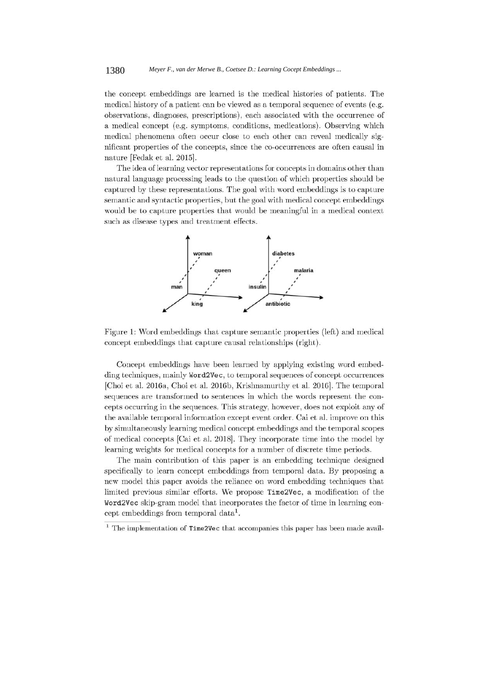the concept embeddings are learned is the medical histories of patients. The medical history of a patient can be viewed as a temporal sequence of events (e.g. observations, diagnoses, prescriptions), each associated with the occurrence of a medical concept (e.g. symptoms, conditions, medications). Observing which medical phenomena often occur close to each other can reveal medically significant properties of the concepts, since the co-occurrences are often causal in nature [Fedak et al. 2015].

The idea of learning vector representations for concepts in domains other than natural language processing leads to the question of which properties should be captured by these representations. The goal with word embeddings is to capture semantic and syntactic properties, but the goal with medical concept embeddings would be to capture properties that would be meaningful in a medical context such as disease types and treatment effects.



Figure 1: Word embeddings that capture semantic properties (left) and medical concept embeddings that capture causal relationships (right).

Concept embeddings have been learned by applying existing word embedding techniques, mainly Word2Vec, to temporal sequences of concept occurrences [Choi et al. 2016a, Choi et al. 2016b, Krishnamurthy et al. 2016]. The temporal sequences are transformed to sentences in which the words represent the concepts occurring in the sequences. This strategy, however, does not exploit any of the available temporal information except event order. Cai et al. improve on this by simultaneously learning medical concept embeddings and the temporal scopes of medical concepts [Cai et al. 2018]. They incorporate time into the model by learning weights for medical concepts for a number of discrete time periods.

The main contribution of this paper is an embedding technique designed specifically to learn concept embeddings from temporal data. By proposing a new model this paper avoids the reliance on word embedding techniques that limited previous similar efforts. We propose Time2Vec, a modification of the Word2Vec skip-gram model that incorporates the factor of time in learning concept embeddings from temporal data<sup>1</sup>.

 $^1$  The implementation of  $\tt Time2Vec$  that accompanies this paper has been made avail-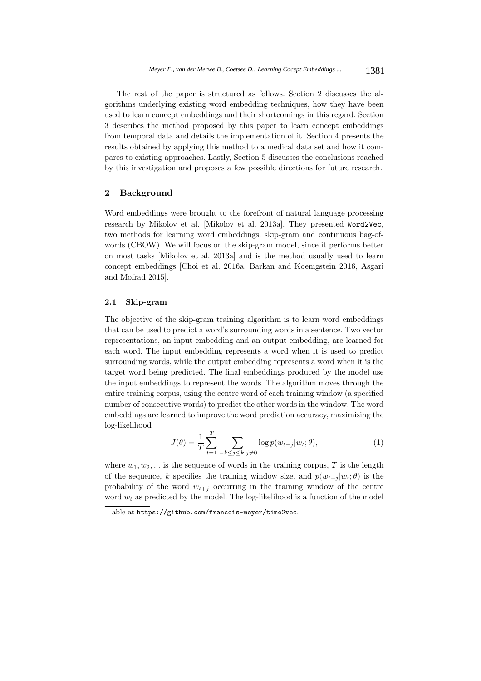The rest of the paper is structured as follows. Section 2 discusses the algorithms underlying existing word embedding techniques, how they have been used to learn concept embeddings and their shortcomings in this regard. Section 3 describes the method proposed by this paper to learn concept embeddings from temporal data and details the implementation of it. Section 4 presents the results obtained by applying this method to a medical data set and how it compares to existing approaches. Lastly, Section 5 discusses the conclusions reached by this investigation and proposes a few possible directions for future research.

# **2 Background**

Word embeddings were brought to the forefront of natural language processing research by Mikolov et al. [Mikolov et al. 2013a]. They presented Word2Vec, two methods for learning word embeddings: skip-gram and continuous bag-ofwords (CBOW). We will focus on the skip-gram model, since it performs better on most tasks [Mikolov et al. 2013a] and is the method usually used to learn concept embeddings [Choi et al. 2016a, Barkan and Koenigstein 2016, Asgari and Mofrad 2015].

## **2.1 Skip-gram**

The objective of the skip-gram training algorithm is to learn word embeddings that can be used to predict a word's surrounding words in a sentence. Two vector representations, an input embedding and an output embedding, are learned for each word. The input embedding represents a word when it is used to predict surrounding words, while the output embedding represents a word when it is the target word being predicted. The final embeddings produced by the model use the input embeddings to represent the words. The algorithm moves through the entire training corpus, using the centre word of each training window (a specified number of consecutive words) to predict the other words in the window. The word embeddings are learned to improve the word prediction accuracy, maximising the log-likelihood

$$
J(\theta) = \frac{1}{T} \sum_{t=1}^{T} \sum_{-k \le j \le k, j \ne 0} \log p(w_{t+j}|w_t; \theta),
$$
 (1)

where  $w_1, w_2, \dots$  is the sequence of words in the training corpus, T is the length of the sequence, k specifies the training window size, and  $p(w_{t+i} | w_t; \theta)$  is the probability of the word  $w_{t+j}$  occurring in the training window of the centre word  $w_t$  as predicted by the model. The log-likelihood is a function of the model

able at https://github.com/francois-meyer/time2vec.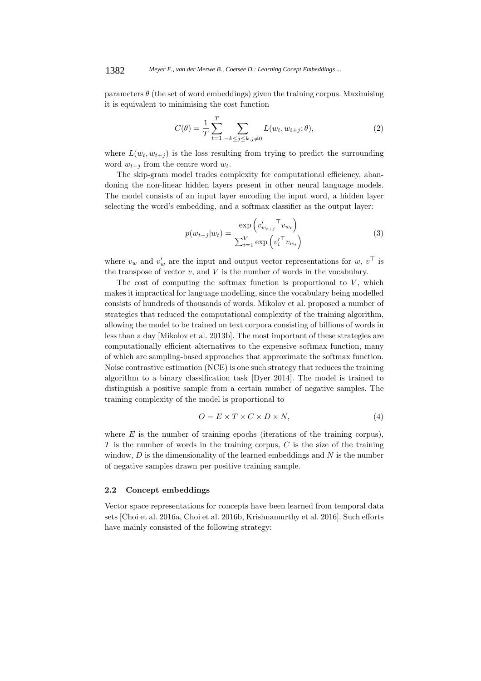parameters  $\theta$  (the set of word embeddings) given the training corpus. Maximising it is equivalent to minimising the cost function

$$
C(\theta) = \frac{1}{T} \sum_{t=1}^{T} \sum_{-k \le j \le k, j \ne 0} L(w_t, w_{t+j}; \theta),
$$
\n(2)

where  $L(w_t, w_{t+i})$  is the loss resulting from trying to predict the surrounding word  $w_{t+i}$  from the centre word  $w_t$ .

The skip-gram model trades complexity for computational efficiency, abandoning the non-linear hidden layers present in other neural language models. The model consists of an input layer encoding the input word, a hidden layer selecting the word's embedding, and a softmax classifier as the output layer:

$$
p(w_{t+j}|w_t) = \frac{\exp\left(v'_{w_{t+j}}^\top v_{w_t}\right)}{\sum_{i=1}^V \exp\left(v'^{\top}_i v_{w_t}\right)}
$$
(3)

where  $v_w$  and  $v'_w$  are the input and output vector representations for  $w, v^{\top}$  is the transpose of vector  $v$ , and  $V$  is the number of words in the vocabulary.

The cost of computing the softmax function is proportional to  $V$ , which makes it impractical for language modelling, since the vocabulary being modelled consists of hundreds of thousands of words. Mikolov et al. proposed a number of strategies that reduced the computational complexity of the training algorithm, allowing the model to be trained on text corpora consisting of billions of words in less than a day [Mikolov et al. 2013b]. The most important of these strategies are computationally efficient alternatives to the expensive softmax function, many of which are sampling-based approaches that approximate the softmax function. Noise contrastive estimation (NCE) is one such strategy that reduces the training algorithm to a binary classification task [Dyer 2014]. The model is trained to distinguish a positive sample from a certain number of negative samples. The training complexity of the model is proportional to

$$
O = E \times T \times C \times D \times N,\tag{4}
$$

where  $E$  is the number of training epochs (iterations of the training corpus),  $T$  is the number of words in the training corpus,  $C$  is the size of the training window,  $D$  is the dimensionality of the learned embeddings and  $N$  is the number of negative samples drawn per positive training sample.

# **2.2 Concept embeddings**

Vector space representations for concepts have been learned from temporal data sets [Choi et al. 2016a, Choi et al. 2016b, Krishnamurthy et al. 2016]. Such efforts have mainly consisted of the following strategy: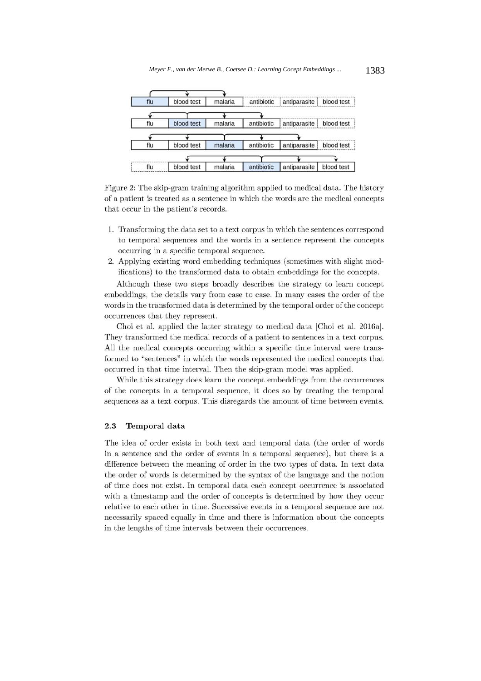

Figure 2: The skip-gram training algorithm applied to medical data. The history of a patient is treated as a sentence in which the words are the medical concepts that occur in the patient's records.

- 1. Transforming the data set to a text corpus in which the sentences correspond to temporal sequences and the words in a sentence represent the concepts occurring in a specific temporal sequence.
- 2. Applying existing word embedding techniques (sometimes with slight modifications) to the transformed data to obtain embeddings for the concepts.

Although these two steps broadly describes the strategy to learn concept embeddings, the details vary from case to case. In many cases the order of the words in the transformed data is determined by the temporal order of the concept occurrences that they represent.

Choi et al. applied the latter strategy to medical data [Choi et al. 2016a]. They transformed the medical records of a patient to sentences in a text corpus. All the medical concepts occurring within a specific time interval were transformed to "sentences" in which the words represented the medical concepts that occurred in that time interval. Then the skip-gram model was applied.

While this strategy does learn the concept embeddings from the occurrences of the concepts in a temporal sequence, it does so by treating the temporal sequences as a text corpus. This disregards the amount of time between events.

#### 2.3 Temporal data

The idea of order exists in both text and temporal data (the order of words in a sentence and the order of events in a temporal sequence), but there is a difference between the meaning of order in the two types of data. In text data the order of words is determined by the syntax of the language and the notion of time does not exist. In temporal data each concept occurrence is associated with a timestamp and the order of concepts is determined by how they occur relative to each other in time. Successive events in a temporal sequence are not necessarily spaced equally in time and there is information about the concepts in the lengths of time intervals between their occurrences.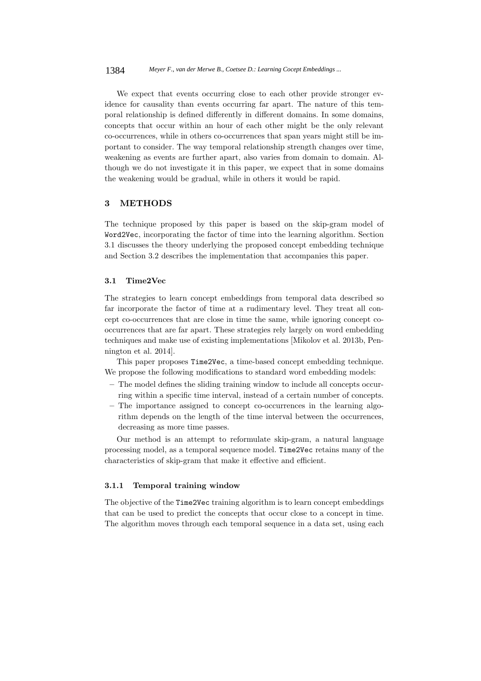We expect that events occurring close to each other provide stronger evidence for causality than events occurring far apart. The nature of this temporal relationship is defined differently in different domains. In some domains, concepts that occur within an hour of each other might be the only relevant co-occurrences, while in others co-occurrences that span years might still be important to consider. The way temporal relationship strength changes over time, weakening as events are further apart, also varies from domain to domain. Although we do not investigate it in this paper, we expect that in some domains the weakening would be gradual, while in others it would be rapid.

# **3 METHODS**

The technique proposed by this paper is based on the skip-gram model of Word2Vec, incorporating the factor of time into the learning algorithm. Section 3.1 discusses the theory underlying the proposed concept embedding technique and Section 3.2 describes the implementation that accompanies this paper.

## **3.1 Time2Vec**

The strategies to learn concept embeddings from temporal data described so far incorporate the factor of time at a rudimentary level. They treat all concept co-occurrences that are close in time the same, while ignoring concept cooccurrences that are far apart. These strategies rely largely on word embedding techniques and make use of existing implementations [Mikolov et al. 2013b, Pennington et al. 2014].

This paper proposes Time2Vec, a time-based concept embedding technique. We propose the following modifications to standard word embedding models:

- **–** The model defines the sliding training window to include all concepts occurring within a specific time interval, instead of a certain number of concepts.
- **–** The importance assigned to concept co-occurrences in the learning algorithm depends on the length of the time interval between the occurrences, decreasing as more time passes.

Our method is an attempt to reformulate skip-gram, a natural language processing model, as a temporal sequence model. Time2Vec retains many of the characteristics of skip-gram that make it effective and efficient.

## **3.1.1 Temporal training window**

The objective of the Time2Vec training algorithm is to learn concept embeddings that can be used to predict the concepts that occur close to a concept in time. The algorithm moves through each temporal sequence in a data set, using each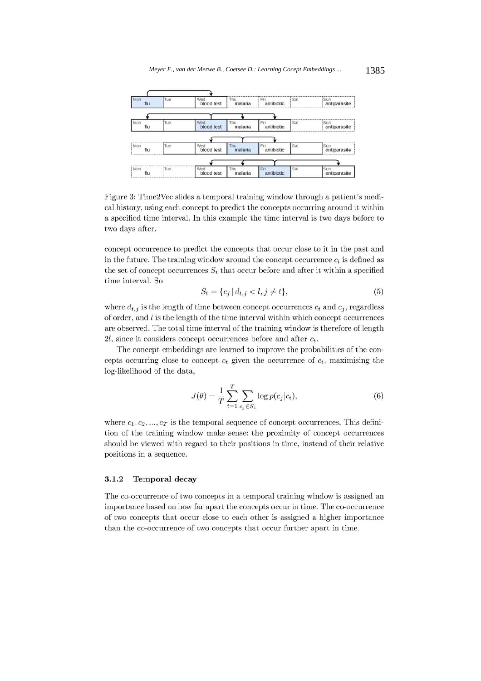

Figure 3: Time2Vec slides a temporal training window through a patient's medical history, using each concept to predict the concepts occurring around it within a specified time interval. In this example the time interval is two days before to two days after.

concept occurrence to predict the concepts that occur close to it in the past and in the future. The training window around the concept occurrence  $c_t$  is defined as the set of concept occurrences  $S_t$  that occur before and after it within a specified time interval. So

$$
S_t = \{c_j \mid d_{t,j} < l, j \neq t\},\tag{5}
$$

where  $d_{t,j}$  is the length of time between concept occurrences  $c_t$  and  $c_j$ , regardless of order, and  $l$  is the length of the time interval within which concept occurrences are observed. The total time interval of the training window is therefore of length 2l, since it considers concept occurrences before and after  $c_t$ .

The concept embeddings are learned to improve the probabilities of the concepts occurring close to concept  $c_t$  given the occurrence of  $c_t$ , maximising the log-likelihood of the data,

$$
J(\theta) = \frac{1}{T} \sum_{t=1}^{T} \sum_{c_j \in S_t} \log p(c_j|c_t),
$$
 (6)

where  $c_1, c_2, ..., c_T$  is the temporal sequence of concept occurrences. This definition of the training window make sense: the proximity of concept occurrences should be viewed with regard to their positions in time, instead of their relative positions in a sequence.

#### $3.1.2$ **Temporal decay**

The co-occurrence of two concepts in a temporal training window is assigned an importance based on how far apart the concepts occur in time. The co-occurrence of two concepts that occur close to each other is assigned a higher importance than the co-occurrence of two concepts that occur further apart in time.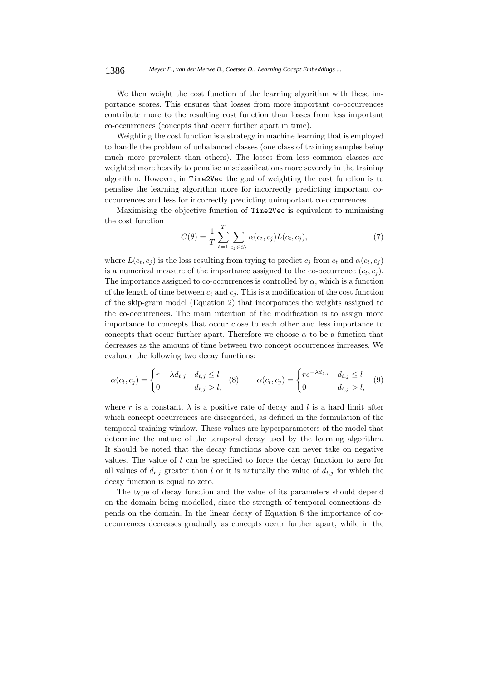#### 1386 *Meyer F., van der Merwe B., Coetsee D.: Learning Cocept Embeddings ...*

We then weight the cost function of the learning algorithm with these importance scores. This ensures that losses from more important co-occurrences contribute more to the resulting cost function than losses from less important co-occurrences (concepts that occur further apart in time).

Weighting the cost function is a strategy in machine learning that is employed to handle the problem of unbalanced classes (one class of training samples being much more prevalent than others). The losses from less common classes are weighted more heavily to penalise misclassifications more severely in the training algorithm. However, in Time2Vec the goal of weighting the cost function is to penalise the learning algorithm more for incorrectly predicting important cooccurrences and less for incorrectly predicting unimportant co-occurrences.

Maximising the objective function of Time2Vec is equivalent to minimising the cost function

$$
C(\theta) = \frac{1}{T} \sum_{t=1}^{T} \sum_{c_j \in S_t} \alpha(c_t, c_j) L(c_t, c_j),
$$
\n(7)

where  $L(c_t, c_j)$  is the loss resulting from trying to predict  $c_j$  from  $c_t$  and  $\alpha(c_t, c_j)$ is a numerical measure of the importance assigned to the co-occurrence  $(c_t, c_i)$ . The importance assigned to co-occurrences is controlled by  $\alpha$ , which is a function of the length of time between  $c_t$  and  $c_j$ . This is a modification of the cost function of the skip-gram model (Equation 2) that incorporates the weights assigned to the co-occurrences. The main intention of the modification is to assign more importance to concepts that occur close to each other and less importance to concepts that occur further apart. Therefore we choose  $\alpha$  to be a function that decreases as the amount of time between two concept occurrences increases. We evaluate the following two decay functions:

$$
\alpha(c_t, c_j) = \begin{cases} r - \lambda d_{t,j} & d_{t,j} \le l \\ 0 & d_{t,j} > l, \end{cases} \quad (8) \qquad \alpha(c_t, c_j) = \begin{cases} re^{-\lambda d_{t,j}} & d_{t,j} \le l \\ 0 & d_{t,j} > l, \end{cases} \quad (9)
$$

where r is a constant,  $\lambda$  is a positive rate of decay and l is a hard limit after which concept occurrences are disregarded, as defined in the formulation of the temporal training window. These values are hyperparameters of the model that determine the nature of the temporal decay used by the learning algorithm. It should be noted that the decay functions above can never take on negative values. The value of l can be specified to force the decay function to zero for all values of  $d_{t,j}$  greater than l or it is naturally the value of  $d_{t,j}$  for which the decay function is equal to zero.

The type of decay function and the value of its parameters should depend on the domain being modelled, since the strength of temporal connections depends on the domain. In the linear decay of Equation 8 the importance of cooccurrences decreases gradually as concepts occur further apart, while in the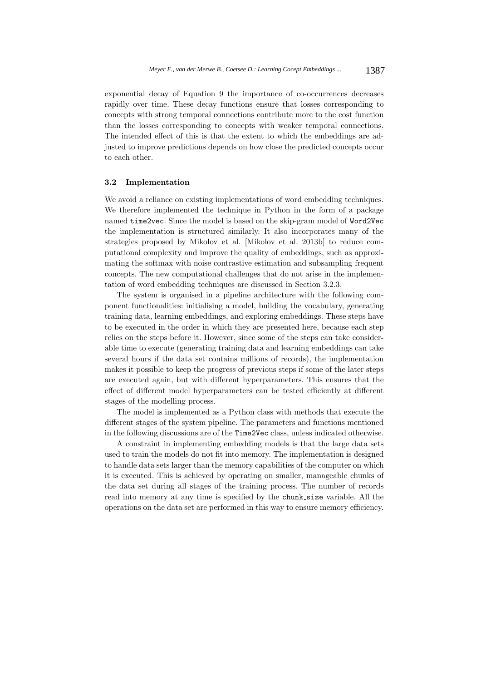exponential decay of Equation 9 the importance of co-occurrences decreases rapidly over time. These decay functions ensure that losses corresponding to concepts with strong temporal connections contribute more to the cost function than the losses corresponding to concepts with weaker temporal connections. The intended effect of this is that the extent to which the embeddings are adjusted to improve predictions depends on how close the predicted concepts occur to each other.

## **3.2 Implementation**

We avoid a reliance on existing implementations of word embedding techniques. We therefore implemented the technique in Python in the form of a package named time2vec. Since the model is based on the skip-gram model of Word2Vec the implementation is structured similarly. It also incorporates many of the strategies proposed by Mikolov et al. [Mikolov et al. 2013b] to reduce computational complexity and improve the quality of embeddings, such as approximating the softmax with noise contrastive estimation and subsampling frequent concepts. The new computational challenges that do not arise in the implementation of word embedding techniques are discussed in Section 3.2.3.

The system is organised in a pipeline architecture with the following component functionalities: initialising a model, building the vocabulary, generating training data, learning embeddings, and exploring embeddings. These steps have to be executed in the order in which they are presented here, because each step relies on the steps before it. However, since some of the steps can take considerable time to execute (generating training data and learning embeddings can take several hours if the data set contains millions of records), the implementation makes it possible to keep the progress of previous steps if some of the later steps are executed again, but with different hyperparameters. This ensures that the effect of different model hyperparameters can be tested efficiently at different stages of the modelling process.

The model is implemented as a Python class with methods that execute the different stages of the system pipeline. The parameters and functions mentioned in the following discussions are of the Time2Vec class, unless indicated otherwise.

A constraint in implementing embedding models is that the large data sets used to train the models do not fit into memory. The implementation is designed to handle data sets larger than the memory capabilities of the computer on which it is executed. This is achieved by operating on smaller, manageable chunks of the data set during all stages of the training process. The number of records read into memory at any time is specified by the chunk size variable. All the operations on the data set are performed in this way to ensure memory efficiency.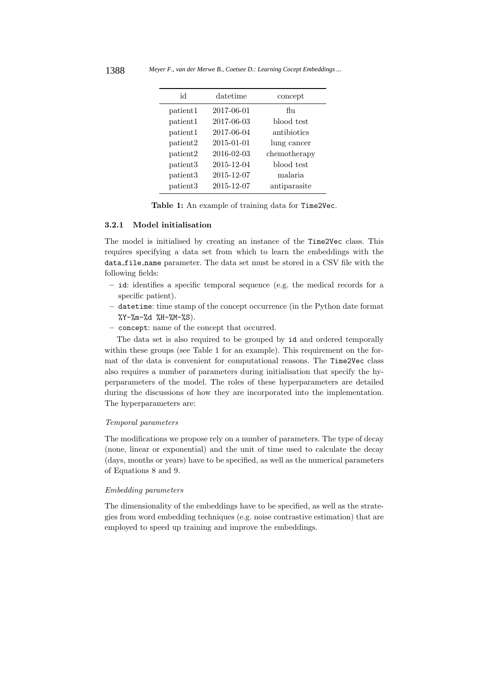| id       | datetime   | concept      |
|----------|------------|--------------|
| patient1 | 2017-06-01 | flu          |
| patient1 | 2017-06-03 | blood test   |
| patient1 | 2017-06-04 | antibiotics  |
| patient2 | 2015-01-01 | lung cancer  |
| patient2 | 2016-02-03 | chemotherapy |
| patient3 | 2015-12-04 | blood test   |
| patient3 | 2015-12-07 | malaria      |
| patient3 | 2015-12-07 | antiparasite |

**Table 1:** An example of training data for Time2Vec.

## **3.2.1 Model initialisation**

The model is initialised by creating an instance of the Time2Vec class. This requires specifying a data set from which to learn the embeddings with the data file name parameter. The data set must be stored in a CSV file with the following fields:

- **–** id: identifies a specific temporal sequence (e.g. the medical records for a specific patient).
- **–** datetime: time stamp of the concept occurrence (in the Python date format  $\frac{\%Y-\%m-\%d}{\#H-\%M-\%S}$ .
- **–** concept: name of the concept that occurred.

The data set is also required to be grouped by id and ordered temporally within these groups (see Table 1 for an example). This requirement on the format of the data is convenient for computational reasons. The Time2Vec class also requires a number of parameters during initialisation that specify the hyperparameters of the model. The roles of these hyperparameters are detailed during the discussions of how they are incorporated into the implementation. The hyperparameters are:

# Temporal parameters

The modifications we propose rely on a number of parameters. The type of decay (none, linear or exponential) and the unit of time used to calculate the decay (days, months or years) have to be specified, as well as the numerical parameters of Equations 8 and 9.

#### Embedding parameters

The dimensionality of the embeddings have to be specified, as well as the strategies from word embedding techniques (e.g. noise contrastive estimation) that are employed to speed up training and improve the embeddings.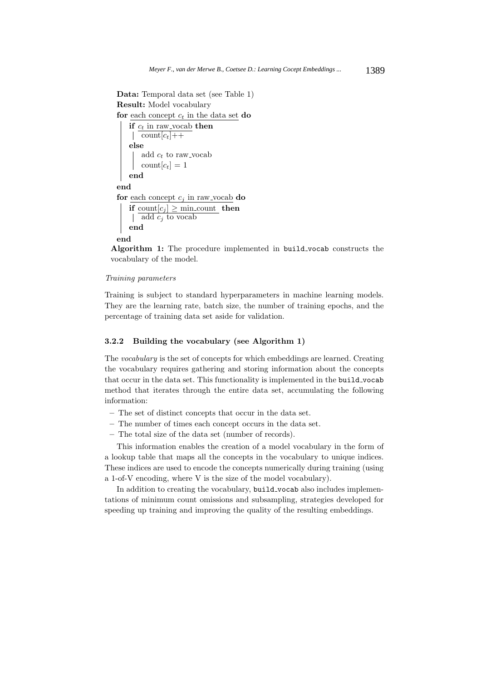```
Data: Temporal data set (see Table 1)
Result: Model vocabulary
for each concept c_t in the data set do
   if c_t in raw vocab then
    | count[c_t]++
   else
       add c_t to raw_vocab
      \text{count}[c_t]=1end
end
for each concept c_j in raw vocab do
   if count[c_i] > min count then
    | add c_i to vocab
   end
end
```
**Algorithm 1:** The procedure implemented in build vocab constructs the vocabulary of the model.

#### Training parameters

Training is subject to standard hyperparameters in machine learning models. They are the learning rate, batch size, the number of training epochs, and the percentage of training data set aside for validation.

## **3.2.2 Building the vocabulary (see Algorithm 1)**

The vocabulary is the set of concepts for which embeddings are learned. Creating the vocabulary requires gathering and storing information about the concepts that occur in the data set. This functionality is implemented in the build vocab method that iterates through the entire data set, accumulating the following information:

- **–** The set of distinct concepts that occur in the data set.
- **–** The number of times each concept occurs in the data set.
- **–** The total size of the data set (number of records).

This information enables the creation of a model vocabulary in the form of a lookup table that maps all the concepts in the vocabulary to unique indices. These indices are used to encode the concepts numerically during training (using a 1-of-V encoding, where V is the size of the model vocabulary).

In addition to creating the vocabulary, build vocab also includes implementations of minimum count omissions and subsampling, strategies developed for speeding up training and improving the quality of the resulting embeddings.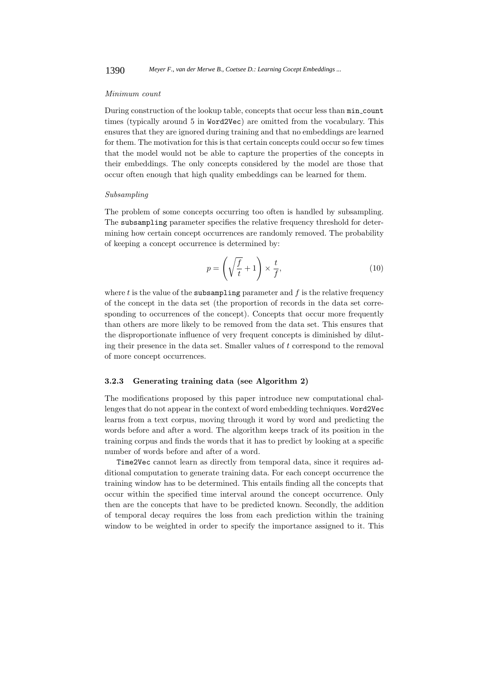### Minimum count

During construction of the lookup table, concepts that occur less than min count times (typically around 5 in Word2Vec) are omitted from the vocabulary. This ensures that they are ignored during training and that no embeddings are learned for them. The motivation for this is that certain concepts could occur so few times that the model would not be able to capture the properties of the concepts in their embeddings. The only concepts considered by the model are those that occur often enough that high quality embeddings can be learned for them.

#### Subsampling

The problem of some concepts occurring too often is handled by subsampling. The subsampling parameter specifies the relative frequency threshold for determining how certain concept occurrences are randomly removed. The probability of keeping a concept occurrence is determined by:

$$
p = \left(\sqrt{\frac{f}{t}} + 1\right) \times \frac{t}{f},\tag{10}
$$

where  $t$  is the value of the subsampling parameter and  $f$  is the relative frequency of the concept in the data set (the proportion of records in the data set corresponding to occurrences of the concept). Concepts that occur more frequently than others are more likely to be removed from the data set. This ensures that the disproportionate influence of very frequent concepts is diminished by diluting their presence in the data set. Smaller values of  $t$  correspond to the removal of more concept occurrences.

## **3.2.3 Generating training data (see Algorithm 2)**

The modifications proposed by this paper introduce new computational challenges that do not appear in the context of word embedding techniques. Word2Vec learns from a text corpus, moving through it word by word and predicting the words before and after a word. The algorithm keeps track of its position in the training corpus and finds the words that it has to predict by looking at a specific number of words before and after of a word.

Time2Vec cannot learn as directly from temporal data, since it requires additional computation to generate training data. For each concept occurrence the training window has to be determined. This entails finding all the concepts that occur within the specified time interval around the concept occurrence. Only then are the concepts that have to be predicted known. Secondly, the addition of temporal decay requires the loss from each prediction within the training window to be weighted in order to specify the importance assigned to it. This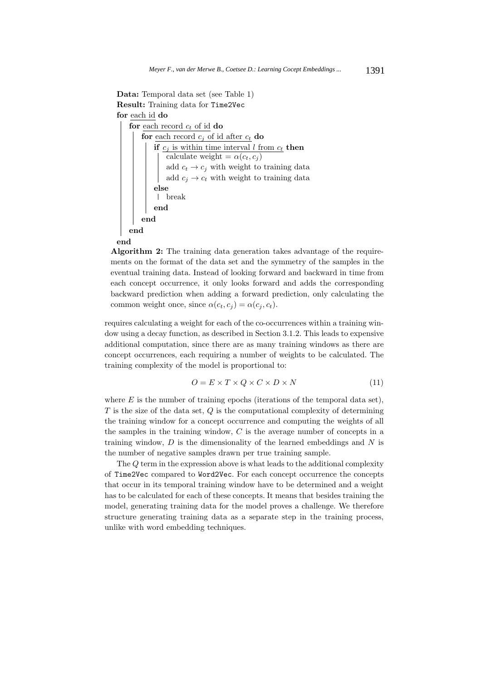```
Data: Temporal data set (see Table 1)
Result: Training data for Time2Vec
for each id do
   for each record c_t of id do
       for each record c_j of id after c_t do
           if c_j is within time interval l from c_t then
               calculate weight = \alpha(c_t, c_j)add c_t \rightarrow c_j with weight to training data
               add c_i \rightarrow c_t with weight to training data
           else
            break
           end
       end
   end
```
#### **end**

**Algorithm 2:** The training data generation takes advantage of the requirements on the format of the data set and the symmetry of the samples in the eventual training data. Instead of looking forward and backward in time from each concept occurrence, it only looks forward and adds the corresponding backward prediction when adding a forward prediction, only calculating the common weight once, since  $\alpha(c_t, c_i) = \alpha(c_i, c_t)$ .

requires calculating a weight for each of the co-occurrences within a training window using a decay function, as described in Section 3.1.2. This leads to expensive additional computation, since there are as many training windows as there are concept occurrences, each requiring a number of weights to be calculated. The training complexity of the model is proportional to:

$$
O = E \times T \times Q \times C \times D \times N \tag{11}
$$

where  $E$  is the number of training epochs (iterations of the temporal data set),  $T$  is the size of the data set,  $Q$  is the computational complexity of determining the training window for a concept occurrence and computing the weights of all the samples in the training window,  $C$  is the average number of concepts in a training window,  $D$  is the dimensionality of the learned embeddings and  $N$  is the number of negative samples drawn per true training sample.

The Q term in the expression above is what leads to the additional complexity of Time2Vec compared to Word2Vec. For each concept occurrence the concepts that occur in its temporal training window have to be determined and a weight has to be calculated for each of these concepts. It means that besides training the model, generating training data for the model proves a challenge. We therefore structure generating training data as a separate step in the training process, unlike with word embedding techniques.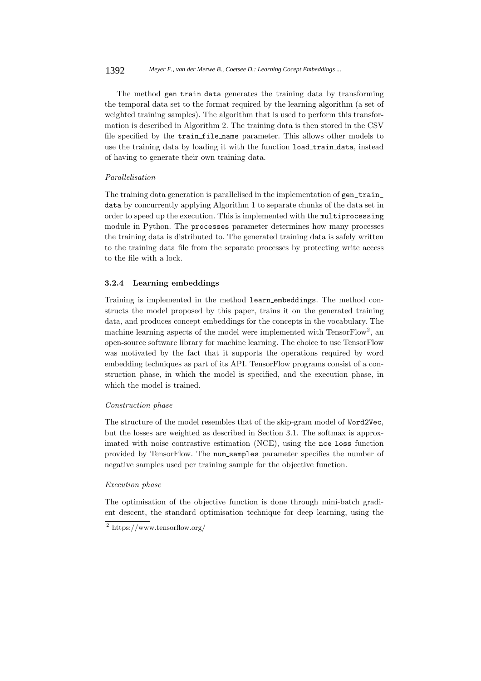The method gen\_train\_data generates the training data by transforming the temporal data set to the format required by the learning algorithm (a set of weighted training samples). The algorithm that is used to perform this transformation is described in Algorithm 2. The training data is then stored in the CSV file specified by the train file name parameter. This allows other models to use the training data by loading it with the function load\_train\_data, instead of having to generate their own training data.

### Parallelisation

The training data generation is parallelised in the implementation of gen\_train\_ data by concurrently applying Algorithm 1 to separate chunks of the data set in order to speed up the execution. This is implemented with the multiprocessing module in Python. The processes parameter determines how many processes the training data is distributed to. The generated training data is safely written to the training data file from the separate processes by protecting write access to the file with a lock.

## **3.2.4 Learning embeddings**

Training is implemented in the method learn embeddings. The method constructs the model proposed by this paper, trains it on the generated training data, and produces concept embeddings for the concepts in the vocabulary. The machine learning aspects of the model were implemented with TensorFlow<sup>2</sup>, an open-source software library for machine learning. The choice to use TensorFlow was motivated by the fact that it supports the operations required by word embedding techniques as part of its API. TensorFlow programs consist of a construction phase, in which the model is specified, and the execution phase, in which the model is trained.

#### Construction phase

The structure of the model resembles that of the skip-gram model of Word2Vec, but the losses are weighted as described in Section 3.1. The softmax is approximated with noise contrastive estimation (NCE), using the nce loss function provided by TensorFlow. The num samples parameter specifies the number of negative samples used per training sample for the objective function.

## Execution phase

The optimisation of the objective function is done through mini-batch gradient descent, the standard optimisation technique for deep learning, using the

<sup>2</sup> https://www.tensorflow.org/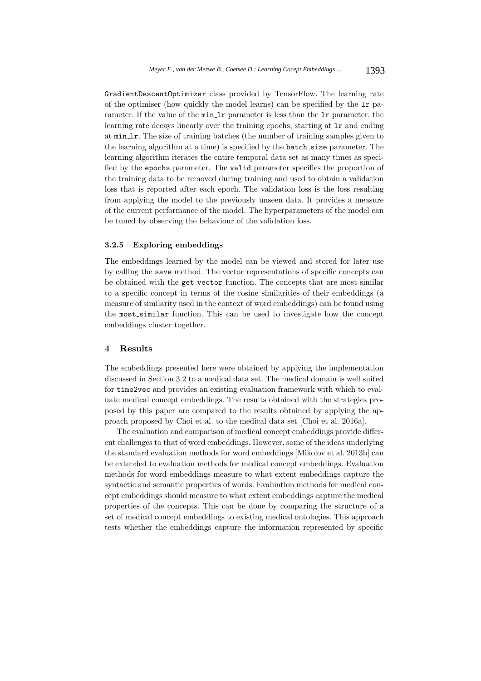GradientDescentOptimizer class provided by TensorFlow. The learning rate of the optimiser (how quickly the model learns) can be specified by the lr parameter. If the value of the min<sub>1</sub>r parameter is less than the 1r parameter, the learning rate decays linearly over the training epochs, starting at lr and ending at min lr. The size of training batches (the number of training samples given to the learning algorithm at a time) is specified by the batch size parameter. The learning algorithm iterates the entire temporal data set as many times as specified by the epochs parameter. The valid parameter specifies the proportion of the training data to be removed during training and used to obtain a validation loss that is reported after each epoch. The validation loss is the loss resulting from applying the model to the previously unseen data. It provides a measure of the current performance of the model. The hyperparameters of the model can be tuned by observing the behaviour of the validation loss.

# **3.2.5 Exploring embeddings**

The embeddings learned by the model can be viewed and stored for later use by calling the save method. The vector representations of specific concepts can be obtained with the get vector function. The concepts that are most similar to a specific concept in terms of the cosine similarities of their embeddings (a measure of similarity used in the context of word embeddings) can be found using the most similar function. This can be used to investigate how the concept embeddings cluster together.

## **4 Results**

The embeddings presented here were obtained by applying the implementation discussed in Section 3.2 to a medical data set. The medical domain is well suited for time2vec and provides an existing evaluation framework with which to evaluate medical concept embeddings. The results obtained with the strategies proposed by this paper are compared to the results obtained by applying the approach proposed by Choi et al. to the medical data set [Choi et al. 2016a].

The evaluation and comparison of medical concept embeddings provide different challenges to that of word embeddings. However, some of the ideas underlying the standard evaluation methods for word embeddings [Mikolov et al. 2013b] can be extended to evaluation methods for medical concept embeddings. Evaluation methods for word embeddings measure to what extent embeddings capture the syntactic and semantic properties of words. Evaluation methods for medical concept embeddings should measure to what extent embeddings capture the medical properties of the concepts. This can be done by comparing the structure of a set of medical concept embeddings to existing medical ontologies. This approach tests whether the embeddings capture the information represented by specific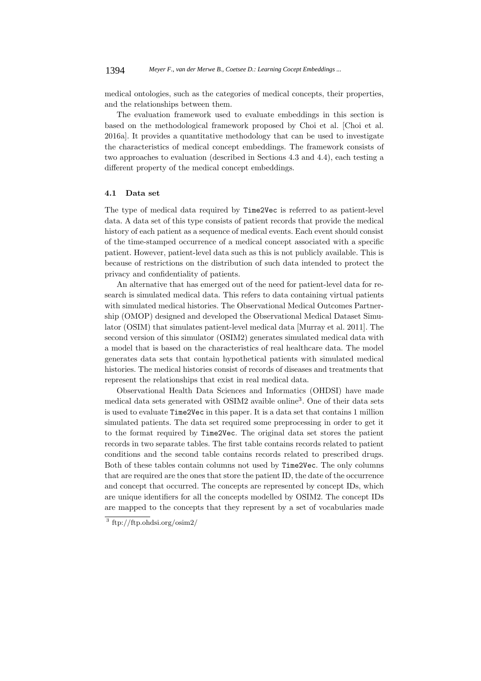medical ontologies, such as the categories of medical concepts, their properties, and the relationships between them.

The evaluation framework used to evaluate embeddings in this section is based on the methodological framework proposed by Choi et al. [Choi et al. 2016a]. It provides a quantitative methodology that can be used to investigate the characteristics of medical concept embeddings. The framework consists of two approaches to evaluation (described in Sections 4.3 and 4.4), each testing a different property of the medical concept embeddings.

## **4.1 Data set**

The type of medical data required by Time2Vec is referred to as patient-level data. A data set of this type consists of patient records that provide the medical history of each patient as a sequence of medical events. Each event should consist of the time-stamped occurrence of a medical concept associated with a specific patient. However, patient-level data such as this is not publicly available. This is because of restrictions on the distribution of such data intended to protect the privacy and confidentiality of patients.

An alternative that has emerged out of the need for patient-level data for research is simulated medical data. This refers to data containing virtual patients with simulated medical histories. The Observational Medical Outcomes Partnership (OMOP) designed and developed the Observational Medical Dataset Simulator (OSIM) that simulates patient-level medical data [Murray et al. 2011]. The second version of this simulator (OSIM2) generates simulated medical data with a model that is based on the characteristics of real healthcare data. The model generates data sets that contain hypothetical patients with simulated medical histories. The medical histories consist of records of diseases and treatments that represent the relationships that exist in real medical data.

Observational Health Data Sciences and Informatics (OHDSI) have made medical data sets generated with OSIM2 avaible online<sup>3</sup>. One of their data sets is used to evaluate Time2Vec in this paper. It is a data set that contains 1 million simulated patients. The data set required some preprocessing in order to get it to the format required by Time2Vec. The original data set stores the patient records in two separate tables. The first table contains records related to patient conditions and the second table contains records related to prescribed drugs. Both of these tables contain columns not used by Time2Vec. The only columns that are required are the ones that store the patient ID, the date of the occurrence and concept that occurred. The concepts are represented by concept IDs, which are unique identifiers for all the concepts modelled by OSIM2. The concept IDs are mapped to the concepts that they represent by a set of vocabularies made

<sup>3</sup> ftp://ftp.ohdsi.org/osim2/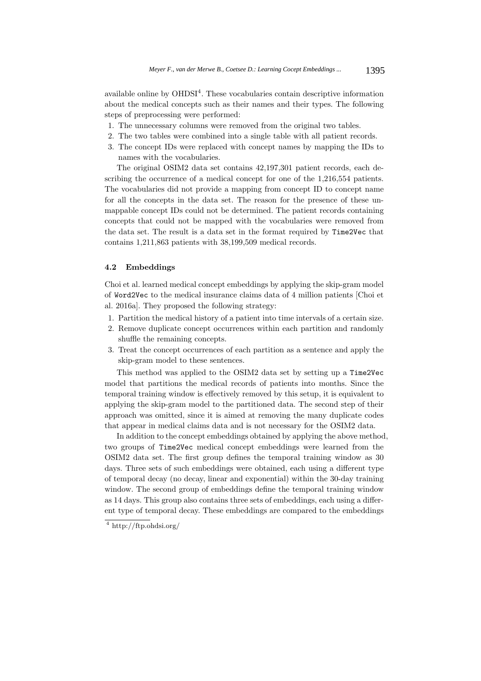available online by  $OHDSI<sup>4</sup>$ . These vocabularies contain descriptive information about the medical concepts such as their names and their types. The following steps of preprocessing were performed:

- 1. The unnecessary columns were removed from the original two tables.
- 2. The two tables were combined into a single table with all patient records.
- 3. The concept IDs were replaced with concept names by mapping the IDs to names with the vocabularies.

The original OSIM2 data set contains 42,197,301 patient records, each describing the occurrence of a medical concept for one of the 1,216,554 patients. The vocabularies did not provide a mapping from concept ID to concept name for all the concepts in the data set. The reason for the presence of these unmappable concept IDs could not be determined. The patient records containing concepts that could not be mapped with the vocabularies were removed from the data set. The result is a data set in the format required by Time2Vec that contains 1,211,863 patients with 38,199,509 medical records.

### **4.2 Embeddings**

Choi et al. learned medical concept embeddings by applying the skip-gram model of Word2Vec to the medical insurance claims data of 4 million patients [Choi et al. 2016a]. They proposed the following strategy:

- 1. Partition the medical history of a patient into time intervals of a certain size.
- 2. Remove duplicate concept occurrences within each partition and randomly shuffle the remaining concepts.
- 3. Treat the concept occurrences of each partition as a sentence and apply the skip-gram model to these sentences.

This method was applied to the OSIM2 data set by setting up a Time2Vec model that partitions the medical records of patients into months. Since the temporal training window is effectively removed by this setup, it is equivalent to applying the skip-gram model to the partitioned data. The second step of their approach was omitted, since it is aimed at removing the many duplicate codes that appear in medical claims data and is not necessary for the OSIM2 data.

In addition to the concept embeddings obtained by applying the above method, two groups of Time2Vec medical concept embeddings were learned from the OSIM2 data set. The first group defines the temporal training window as 30 days. Three sets of such embeddings were obtained, each using a different type of temporal decay (no decay, linear and exponential) within the 30-day training window. The second group of embeddings define the temporal training window as 14 days. This group also contains three sets of embeddings, each using a different type of temporal decay. These embeddings are compared to the embeddings

<sup>4</sup> http://ftp.ohdsi.org/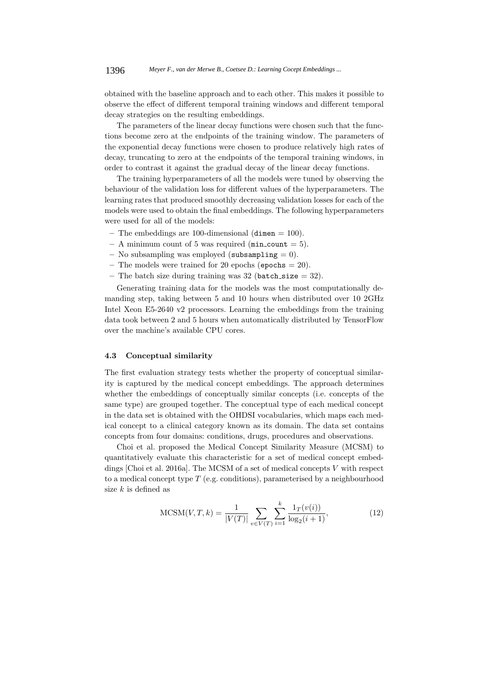obtained with the baseline approach and to each other. This makes it possible to observe the effect of different temporal training windows and different temporal decay strategies on the resulting embeddings.

The parameters of the linear decay functions were chosen such that the functions become zero at the endpoints of the training window. The parameters of the exponential decay functions were chosen to produce relatively high rates of decay, truncating to zero at the endpoints of the temporal training windows, in order to contrast it against the gradual decay of the linear decay functions.

The training hyperparameters of all the models were tuned by observing the behaviour of the validation loss for different values of the hyperparameters. The learning rates that produced smoothly decreasing validation losses for each of the models were used to obtain the final embeddings. The following hyperparameters were used for all of the models:

- **–** The embeddings are 100-dimensional (dimen = 100).
- $-$  A minimum count of 5 was required ( $min\_count = 5$ ).
- **–** No subsampling was employed (subsampling = 0).
- **–** The models were trained for 20 epochs (epochs = 20).
- **–** The batch size during training was 32 (batch size = 32).

Generating training data for the models was the most computationally demanding step, taking between 5 and 10 hours when distributed over 10 2GHz Intel Xeon E5-2640 v2 processors. Learning the embeddings from the training data took between 2 and 5 hours when automatically distributed by TensorFlow over the machine's available CPU cores.

#### **4.3 Conceptual similarity**

The first evaluation strategy tests whether the property of conceptual similarity is captured by the medical concept embeddings. The approach determines whether the embeddings of conceptually similar concepts (i.e. concepts of the same type) are grouped together. The conceptual type of each medical concept in the data set is obtained with the OHDSI vocabularies, which maps each medical concept to a clinical category known as its domain. The data set contains concepts from four domains: conditions, drugs, procedures and observations.

Choi et al. proposed the Medical Concept Similarity Measure (MCSM) to quantitatively evaluate this characteristic for a set of medical concept embeddings [Choi et al. 2016a]. The MCSM of a set of medical concepts V with respect to a medical concept type  $T$  (e.g. conditions), parameterised by a neighbourhood size  $k$  is defined as

$$
MCSM(V, T, k) = \frac{1}{|V(T)|} \sum_{v \in V(T)} \sum_{i=1}^{k} \frac{1_T(v(i))}{\log_2(i+1)},
$$
\n(12)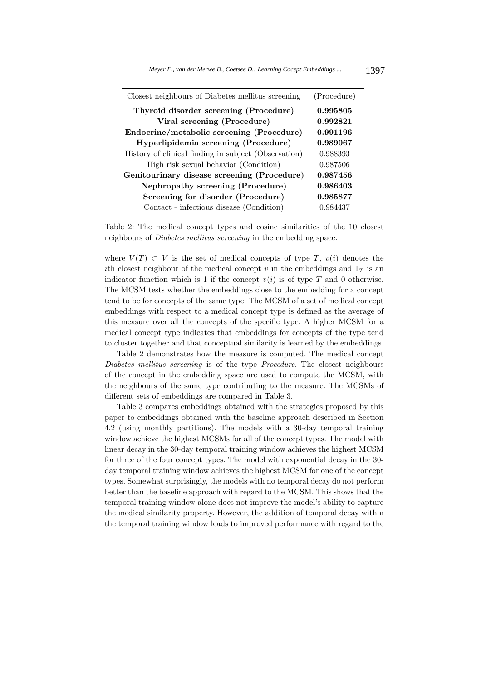| Closest neighbours of Diabetes mellitus screening    | (Procedure) |
|------------------------------------------------------|-------------|
| Thyroid disorder screening (Procedure)               | 0.995805    |
| Viral screening (Procedure)                          | 0.992821    |
| Endocrine/metabolic screening (Procedure)            | 0.991196    |
| Hyperlipidemia screening (Procedure)                 | 0.989067    |
| History of clinical finding in subject (Observation) | 0.988393    |
| High risk sexual behavior (Condition)                | 0.987506    |
| Genitourinary disease screening (Procedure)          | 0.987456    |
| Nephropathy screening (Procedure)                    | 0.986403    |
| Screening for disorder (Procedure)                   | 0.985877    |
| Contact - infectious disease (Condition)             | 0.984437    |

Table 2: The medical concept types and cosine similarities of the 10 closest neighbours of Diabetes mellitus screening in the embedding space.

where  $V(T) \subset V$  is the set of medical concepts of type T,  $v(i)$  denotes the ith closest neighbour of the medical concept v in the embeddings and  $1<sub>T</sub>$  is an indicator function which is 1 if the concept  $v(i)$  is of type T and 0 otherwise. The MCSM tests whether the embeddings close to the embedding for a concept tend to be for concepts of the same type. The MCSM of a set of medical concept embeddings with respect to a medical concept type is defined as the average of this measure over all the concepts of the specific type. A higher MCSM for a medical concept type indicates that embeddings for concepts of the type tend to cluster together and that conceptual similarity is learned by the embeddings.

Table 2 demonstrates how the measure is computed. The medical concept Diabetes mellitus screening is of the type *Procedure*. The closest neighbours of the concept in the embedding space are used to compute the MCSM, with the neighbours of the same type contributing to the measure. The MCSMs of different sets of embeddings are compared in Table 3.

Table 3 compares embeddings obtained with the strategies proposed by this paper to embeddings obtained with the baseline approach described in Section 4.2 (using monthly partitions). The models with a 30-day temporal training window achieve the highest MCSMs for all of the concept types. The model with linear decay in the 30-day temporal training window achieves the highest MCSM for three of the four concept types. The model with exponential decay in the 30 day temporal training window achieves the highest MCSM for one of the concept types. Somewhat surprisingly, the models with no temporal decay do not perform better than the baseline approach with regard to the MCSM. This shows that the temporal training window alone does not improve the model's ability to capture the medical similarity property. However, the addition of temporal decay within the temporal training window leads to improved performance with regard to the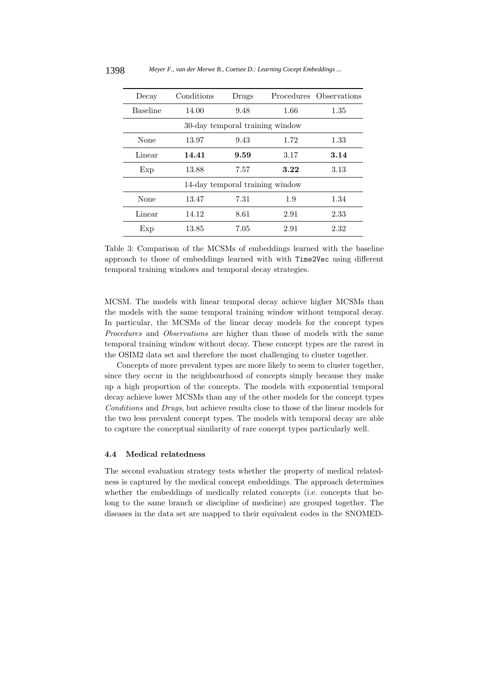| Decay                           | Conditions | Drugs |      | Procedures Observations |  |
|---------------------------------|------------|-------|------|-------------------------|--|
| <b>Baseline</b>                 | 14.00      | 9.48  | 1.66 | 1.35                    |  |
| 30-day temporal training window |            |       |      |                         |  |
| None                            | 13.97      | 9.43  | 1.72 | 1.33                    |  |
| Linear                          | 14.41      | 9.59  | 3.17 | 3.14                    |  |
| Exp                             | 13.88      | 7.57  | 3.22 | 3.13                    |  |
| 14-day temporal training window |            |       |      |                         |  |
| None                            | 13.47      | 7.31  | 1.9  | 1.34                    |  |
| Linear                          | 14.12      | 8.61  | 2.91 | 2.33                    |  |
| Exp                             | 13.85      | 7.05  | 2.91 | 2.32                    |  |

Table 3: Comparison of the MCSMs of embeddings learned with the baseline approach to those of embeddings learned with with Time2Vec using different temporal training windows and temporal decay strategies.

MCSM. The models with linear temporal decay achieve higher MCSMs than the models with the same temporal training window without temporal decay. In particular, the MCSMs of the linear decay models for the concept types Procedures and Observations are higher than those of models with the same temporal training window without decay. These concept types are the rarest in the OSIM2 data set and therefore the most challenging to cluster together.

Concepts of more prevalent types are more likely to seem to cluster together, since they occur in the neighbourhood of concepts simply because they make up a high proportion of the concepts. The models with exponential temporal decay achieve lower MCSMs than any of the other models for the concept types Conditions and Drugs, but achieve results close to those of the linear models for the two less prevalent concept types. The models with temporal decay are able to capture the conceptual similarity of rare concept types particularly well.

## **4.4 Medical relatedness**

The second evaluation strategy tests whether the property of medical relatedness is captured by the medical concept embeddings. The approach determines whether the embeddings of medically related concepts (i.e. concepts that belong to the same branch or discipline of medicine) are grouped together. The diseases in the data set are mapped to their equivalent codes in the SNOMED-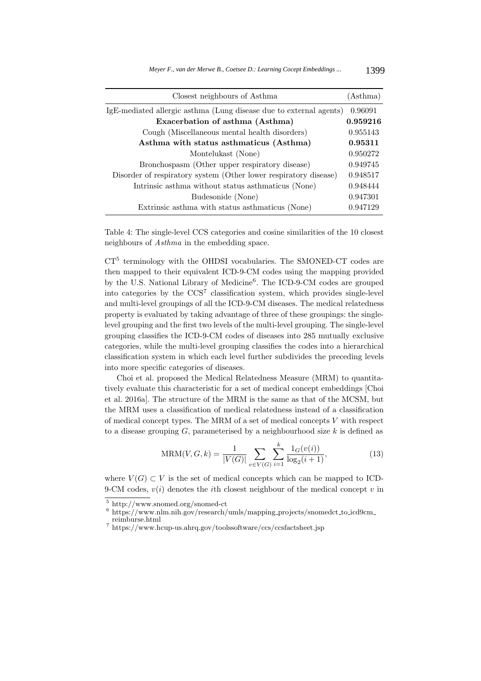| Closest neighbours of Asthma                                       | (Asthma) |
|--------------------------------------------------------------------|----------|
| IgE-mediated allergic asthma (Lung disease due to external agents) | 0.96091  |
| Exacerbation of asthma (Asthma)                                    | 0.959216 |
| Cough (Miscellaneous mental health disorders)                      | 0.955143 |
| Asthma with status asthmaticus (Asthma)                            | 0.95311  |
| Montelukast (None)                                                 | 0.950272 |
| Bronchospasm (Other upper respiratory disease)                     | 0.949745 |
| Disorder of respiratory system (Other lower respiratory disease)   | 0.948517 |
| Intrinsic asthma without status asthmaticus (None)                 | 0.948444 |
| Budesonide (None)                                                  | 0.947301 |
| Extrinsic asthma with status asthmaticus (None)                    | 0.947129 |

Table 4: The single-level CCS categories and cosine similarities of the 10 closest neighbours of Asthma in the embedding space.

CT<sup>5</sup> terminology with the OHDSI vocabularies. The SMONED-CT codes are then mapped to their equivalent ICD-9-CM codes using the mapping provided by the U.S. National Library of Medicine<sup>6</sup>. The ICD-9-CM codes are grouped into categories by the CCS<sup>7</sup> classification system, which provides single-level and multi-level groupings of all the ICD-9-CM diseases. The medical relatedness property is evaluated by taking advantage of three of these groupings: the singlelevel grouping and the first two levels of the multi-level grouping. The single-level grouping classifies the ICD-9-CM codes of diseases into 285 mutually exclusive categories, while the multi-level grouping classifies the codes into a hierarchical classification system in which each level further subdivides the preceding levels into more specific categories of diseases.

Choi et al. proposed the Medical Relatedness Measure (MRM) to quantitatively evaluate this characteristic for a set of medical concept embeddings [Choi et al. 2016a]. The structure of the MRM is the same as that of the MCSM, but the MRM uses a classification of medical relatedness instead of a classification of medical concept types. The MRM of a set of medical concepts V with respect to a disease grouping  $G$ , parameterised by a neighbourhood size k is defined as

$$
MRM(V, G, k) = \frac{1}{|V(G)|} \sum_{v \in V(G)} \sum_{i=1}^{k} \frac{1_G(v(i))}{\log_2(i+1)},
$$
\n(13)

where  $V(G) \subset V$  is the set of medical concepts which can be mapped to ICD-9-CM codes,  $v(i)$  denotes the *i*th closest neighbour of the medical concept  $v$  in

 $^5$ http://www.snomed.org/snomed-ct $^6$ https://www.nlm.nih.gov/research/umls/mapping\_projects/snomedct\_to\_icd9cm\_reimburse.html

 $7$  https://www.hcup-us.ahrq.gov/toolssoftware/ccs/ccsfactsheet.jsp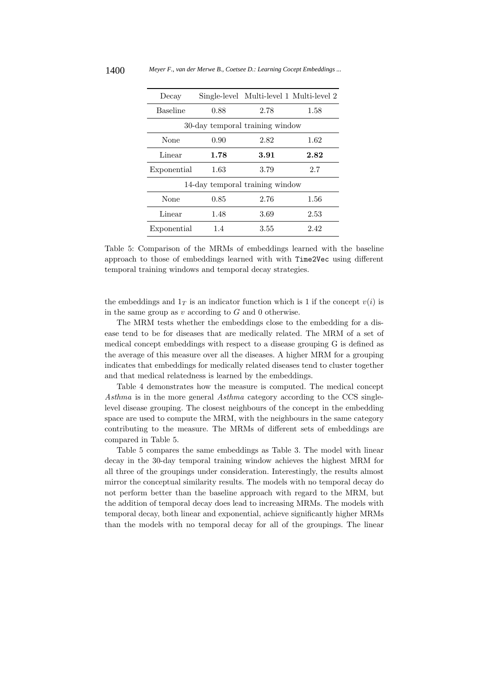| Decay                           |      | Single-level Multi-level 1 Multi-level 2 |      |  |  |  |
|---------------------------------|------|------------------------------------------|------|--|--|--|
| <b>Baseline</b>                 | 0.88 |                                          | 1.58 |  |  |  |
| 30-day temporal training window |      |                                          |      |  |  |  |
| None                            | 0.90 | 2.82                                     | 1.62 |  |  |  |
| Linear                          | 1.78 | 3.91                                     | 2.82 |  |  |  |
| Exponential                     | 1.63 | 3.79                                     | 2.7  |  |  |  |
| 14-day temporal training window |      |                                          |      |  |  |  |
| None                            | 0.85 | 2.76                                     | 1.56 |  |  |  |
| Linear                          | 1.48 | 3.69                                     | 2.53 |  |  |  |
| Exponential                     | 1.4  | 3.55                                     | 2.42 |  |  |  |

Table 5: Comparison of the MRMs of embeddings learned with the baseline approach to those of embeddings learned with with Time2Vec using different temporal training windows and temporal decay strategies.

the embeddings and  $1_T$  is an indicator function which is 1 if the concept  $v(i)$  is in the same group as  $v$  according to  $G$  and 0 otherwise.

The MRM tests whether the embeddings close to the embedding for a disease tend to be for diseases that are medically related. The MRM of a set of medical concept embeddings with respect to a disease grouping G is defined as the average of this measure over all the diseases. A higher MRM for a grouping indicates that embeddings for medically related diseases tend to cluster together and that medical relatedness is learned by the embeddings.

Table 4 demonstrates how the measure is computed. The medical concept Asthma is in the more general Asthma category according to the CCS singlelevel disease grouping. The closest neighbours of the concept in the embedding space are used to compute the MRM, with the neighbours in the same category contributing to the measure. The MRMs of different sets of embeddings are compared in Table 5.

Table 5 compares the same embeddings as Table 3. The model with linear decay in the 30-day temporal training window achieves the highest MRM for all three of the groupings under consideration. Interestingly, the results almost mirror the conceptual similarity results. The models with no temporal decay do not perform better than the baseline approach with regard to the MRM, but the addition of temporal decay does lead to increasing MRMs. The models with temporal decay, both linear and exponential, achieve significantly higher MRMs than the models with no temporal decay for all of the groupings. The linear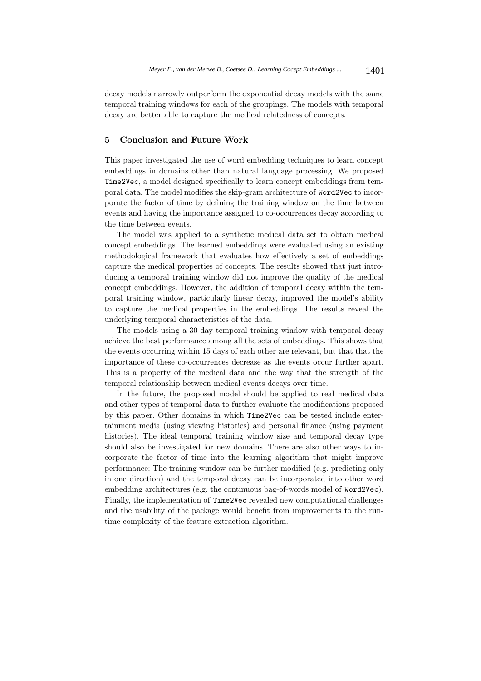decay models narrowly outperform the exponential decay models with the same temporal training windows for each of the groupings. The models with temporal decay are better able to capture the medical relatedness of concepts.

# **5 Conclusion and Future Work**

This paper investigated the use of word embedding techniques to learn concept embeddings in domains other than natural language processing. We proposed Time2Vec, a model designed specifically to learn concept embeddings from temporal data. The model modifies the skip-gram architecture of Word2Vec to incorporate the factor of time by defining the training window on the time between events and having the importance assigned to co-occurrences decay according to the time between events.

The model was applied to a synthetic medical data set to obtain medical concept embeddings. The learned embeddings were evaluated using an existing methodological framework that evaluates how effectively a set of embeddings capture the medical properties of concepts. The results showed that just introducing a temporal training window did not improve the quality of the medical concept embeddings. However, the addition of temporal decay within the temporal training window, particularly linear decay, improved the model's ability to capture the medical properties in the embeddings. The results reveal the underlying temporal characteristics of the data.

The models using a 30-day temporal training window with temporal decay achieve the best performance among all the sets of embeddings. This shows that the events occurring within 15 days of each other are relevant, but that that the importance of these co-occurrences decrease as the events occur further apart. This is a property of the medical data and the way that the strength of the temporal relationship between medical events decays over time.

In the future, the proposed model should be applied to real medical data and other types of temporal data to further evaluate the modifications proposed by this paper. Other domains in which Time2Vec can be tested include entertainment media (using viewing histories) and personal finance (using payment histories). The ideal temporal training window size and temporal decay type should also be investigated for new domains. There are also other ways to incorporate the factor of time into the learning algorithm that might improve performance: The training window can be further modified (e.g. predicting only in one direction) and the temporal decay can be incorporated into other word embedding architectures (e.g. the continuous bag-of-words model of Word2Vec). Finally, the implementation of Time2Vec revealed new computational challenges and the usability of the package would benefit from improvements to the runtime complexity of the feature extraction algorithm.